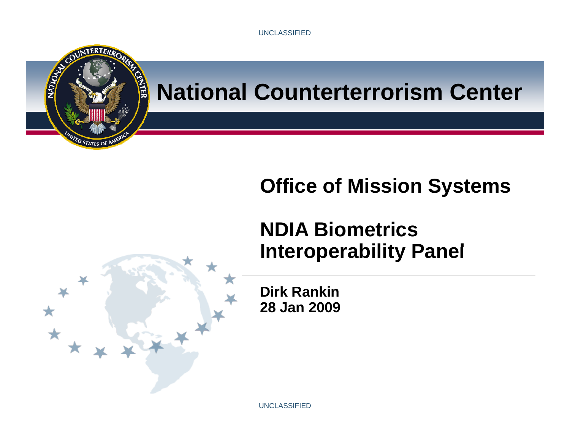

#### **National Counterterrorism Center**

#### **Office of Mission Systems**

#### **NDIA Biometrics I t bilit P l Interoperability Panel**



UNCLASSIFIED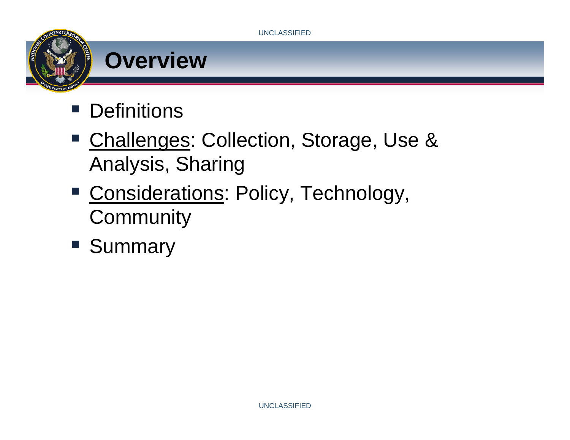

- $\mathcal{L}(\mathcal{A})$ Challenges: Collection, Storage, Use & Analysis, Sharing
- Considerations: Policy, Technology, **Community**
- **Summary**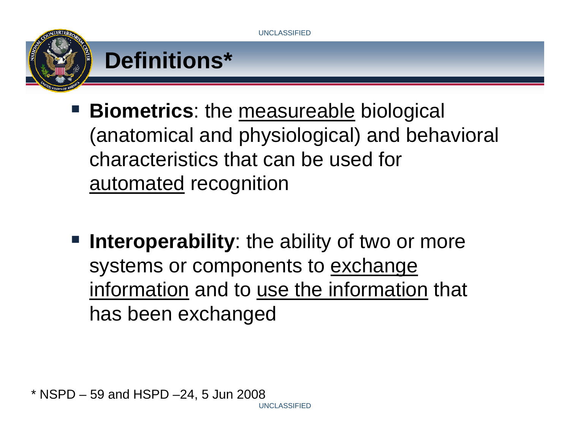

- **Biometrics:** the measureable biological (anatomical and physiological) and behavioral characteristics that can be used for automated recognition
- **Interoperability**: the ability of two or more systems or components to exchange information and to use the information that has been exchanged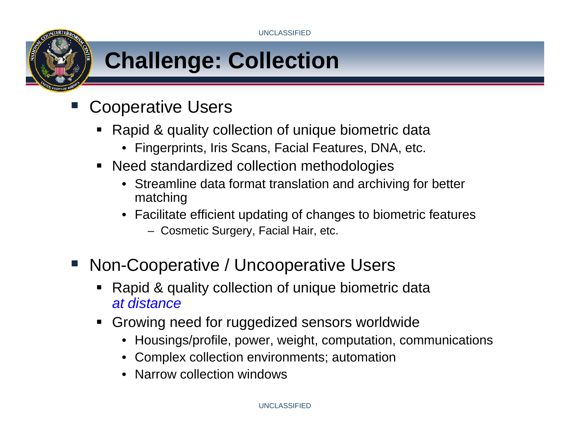# **Challenge: Collection**

- Cooperative Users
	- Rapid & quality collection of unique biometric data
		- Fingerprints, Iris Scans, Facial Features, DNA, etc.
	- Need standardized collection methodologies
		- Streamline data format translation and archiving for better matching
		- Facilitate efficient updating of changes to biometric features
			- Cosmetic Surgery, Facial Hair, etc.
- **Service Service**  Non-Cooperative / Uncooperative Users
	- П Rapid & quality collection of unique biometric data *at distance*
	- Growing need for ruggedized sensors worldwide
		- Housings/profile, power, weight, computation, communications
		- Complex collection environments; automation
		- Narrow collection windows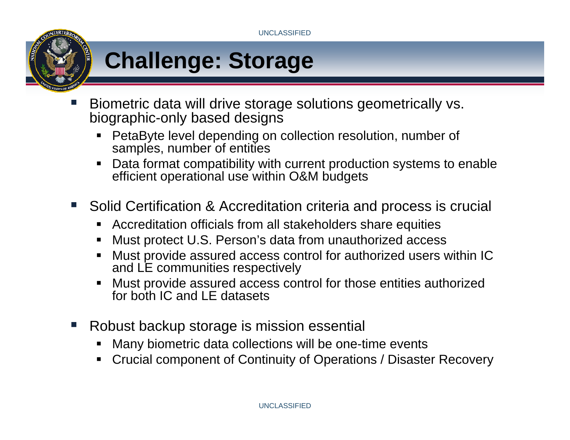

- Biometric data will drive storage solutions geometrically vs. biographic-only based designs
	- PetaByte level depending on collection resolution, number of samples, number of entities
	- Data format compatibility with current production systems to enable efficient operational use within O&M budgets
- $\mathcal{L}^{\text{max}}$  Solid Certification & Accreditation criteria and process is crucial
	- ▉ Accreditation officials from all stakeholders share equities
	- Must protect U.S. Person's data from unauthorized access
	- Must provide assured access control for authorized users within IC and LE communities respectively
	- Must provide assured access control for those entities authorized for both IC and LE datasets
- Robust backup storage is mission essential
	- Many biometric data collections will be one-time events
	- Crucial component of Continuity of Operations / Disaster Recovery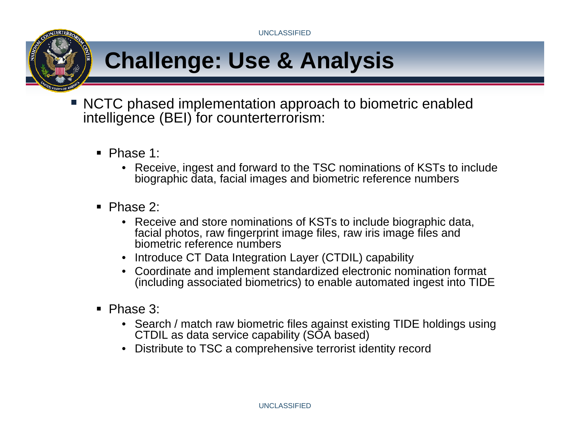# **Challenge: Use & Analysis**

- NCTC phased implementation approach to biometric enabled intelligence (BEI) for counterterrorism:
	- Phase 1:
		- Receive, ingest and forward to the TSC nominations of KSTs to include biographic data, facial images and biometric reference numbers
	- Phase 2:
		- Receive and store nominations of KSTs to include biographic data, facial photos, raw fingerprint image files, raw iris image files and biometric reference numbers
		- Introduce CT Data Integration Layer (CTDIL) capability
		- Coordinate and implement standardized electronic nomination format (including associated biometrics) to enable automated ingest into TIDE
	- Phase 3:
		- Search / match raw biometric files against existing TIDE holdings using CTDIL as data service capability (SOA based)
		- Distribute to TSC a comprehensive terrorist identity record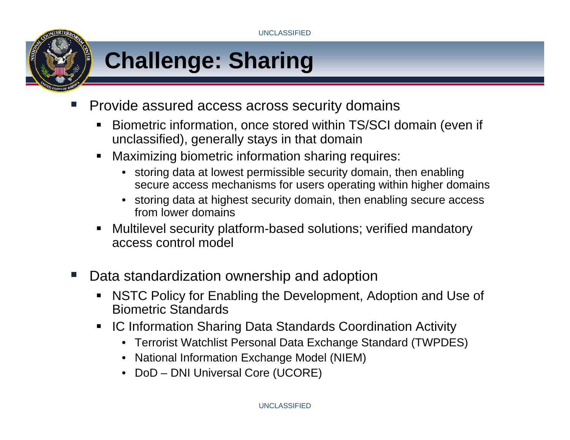

- Provide assured access across security domains
	- $\blacksquare$  Biometric information, once stored within TS/SCI domain (even if unclassified), generally stays in that domain
	- Maximizing biometric information sharing requires:
		- storing data at lowest permissible security domain, then enabling secure access mechanisms for users operating within higher domains
		- storing data at highest security domain, then enabling secure access from lower domains
	- Multilevel security platform-based solutions; verified mandatory access control model
- **Tale**  Data standardization ownership and adoption
	- NSTC Policy for Enabling the Development, Adoption and Use of Biometric Standards
	- $\blacksquare$  IC Information Sharing Data Standards Coordination Activity
		- Terrorist Watchlist Personal Data Exchange Standard (TWPDES)
		- National Information Exchange Model (NIEM)
		- DoD DNI Universal Core (UCORE)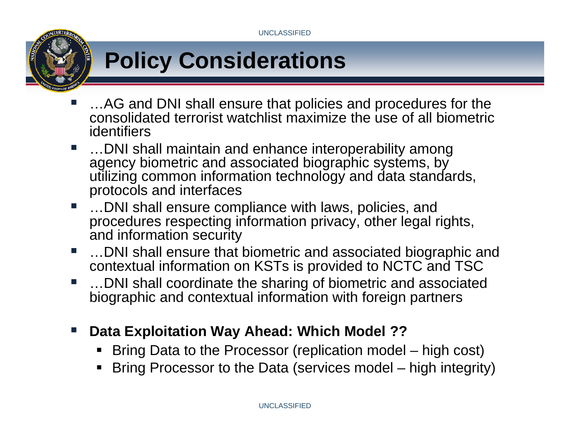# **Policy Considerations**

- …AG and DNI shall ensure that policies and procedures for the consolidated terrorist watchlist maximize the use of all biometric identifiers
- …DNI shall maintain and enhance interoperability among agency biometric and associated biographic systems, by utilizing common information technology and data standards, protocols and interfaces
- **Contract**  …DNI shall ensure compliance with laws, policies, and procedures respecting information privacy, other legal rights, and information security
- $\Box$ …DNI shall ensure that biometric and associated biographic and contextual information on KSTs is provided to NCTC and TSC
- …DNI shall coordinate the sharing of biometric and associated biographic and contextual information with foreign partners
- $\mathcal{L}_{\mathcal{A}}$  **Data Exploitation Way Ahead: Which Model ??**
	- П ■ Bring Data to the Processor (replication model – high cost)
	- Bring Processor to the Data (services model high integrity)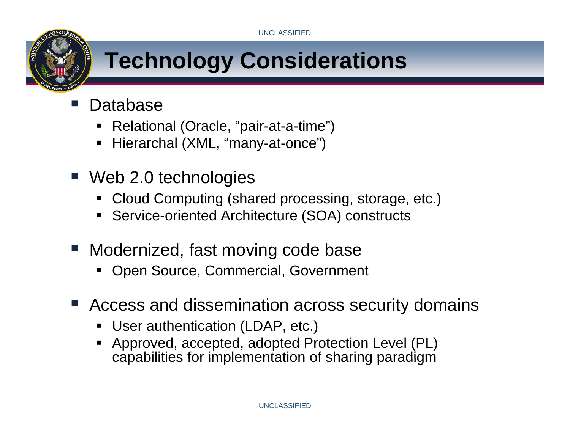# **Technology Considerations**

- Database
	- П Relational (Oracle, "pair-at-a-time")
	- П Hierarchal (XML, "many-at-once")
- Web 2.0 technologies
	- Cloud Computing (shared processing, storage, etc.)
	- Service-oriented Architecture (SOA) constructs
- Modernized, fast moving code base
	- Open Source, Commercial, Government
- Access and dissemination across security domains
	- User authentication (LDAP, etc.)
	- Approved, accepted, adopted Protection Level (PL) capabilities for implementation of sharing paradigm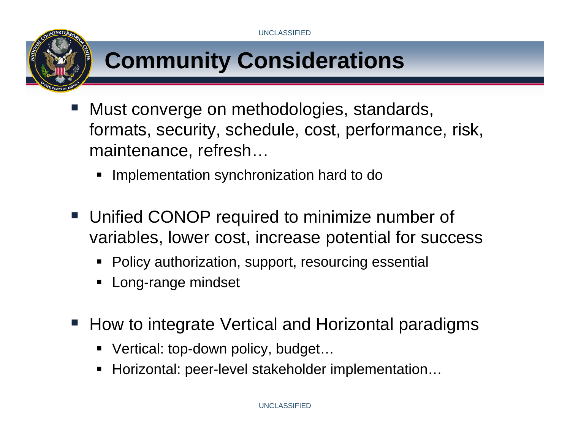

## **Community Considerations**

- Must converge on methodologies, standards, formats, security, schedule, cost, performance, risk, maintenance, refresh…
	- **Implementation synchronization hard to do**
- Unified CONOP required to minimize number of variables, lower cost, increase potential for success
	- **•** Policy authorization, support, resourcing essential
	- П Long-range mindset
- How to integrate Vertical and Horizontal paradigms
	- Vertical: top-down policy, budget...
	- Horizontal: peer-level stakeholder implementation...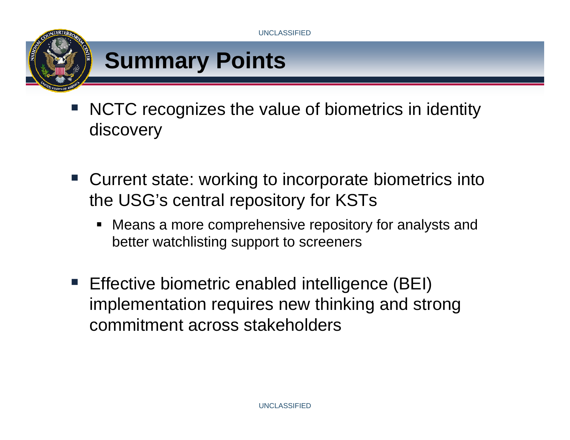



- NCTC recognizes the value of biometrics in identity discovery
- Current state: working to incorporate biometrics into the USG's central repository for KSTs
	- Means a more comprehensive repository for analysts and better watchlisting support to screeners
- **Effective biometric enabled intelligence (BEI)** implementation requires new thinking and strong commitment across stakeholders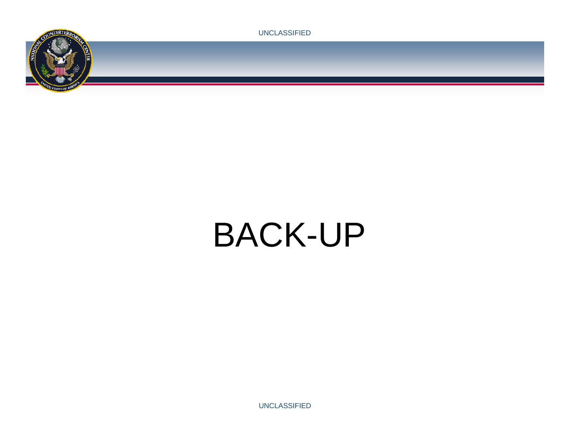



# BACK-UP

UNCLASSIFIED